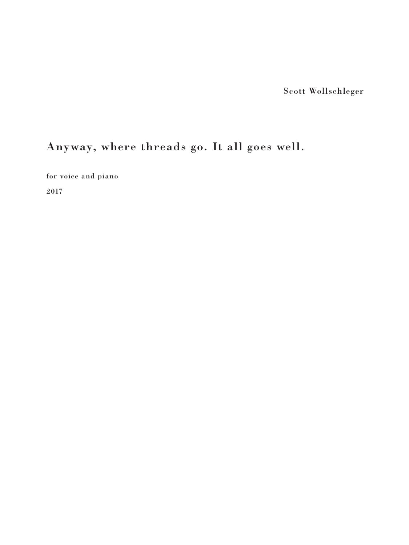Scott Wollschleger

## Anyway, where threads go. It all goes well.

for voice and piano

2017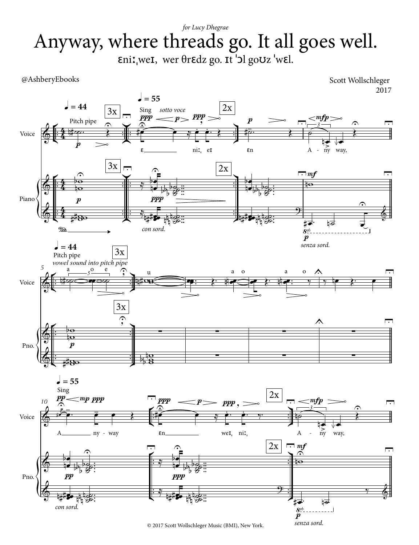## Anyway, where threads go. It all goes well. ˈwεl.<br> for Lucy Dhegrae

@AshberyEbooks

Scott Wollschleger 2017

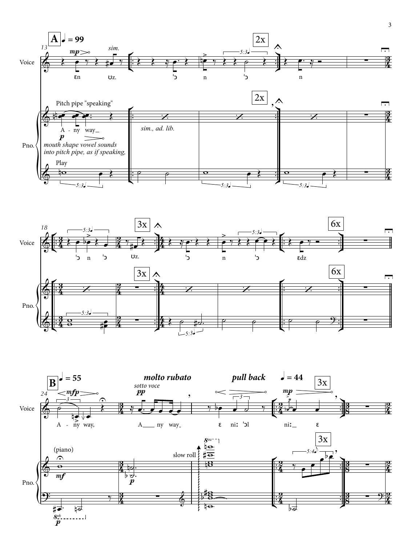

 $5:3$ q  $5:3$ q  $-$ 

5:3 $-$ 



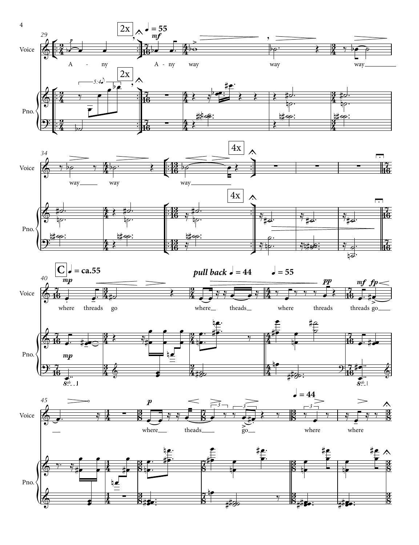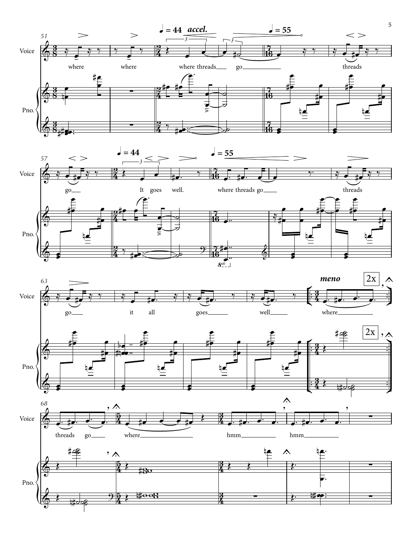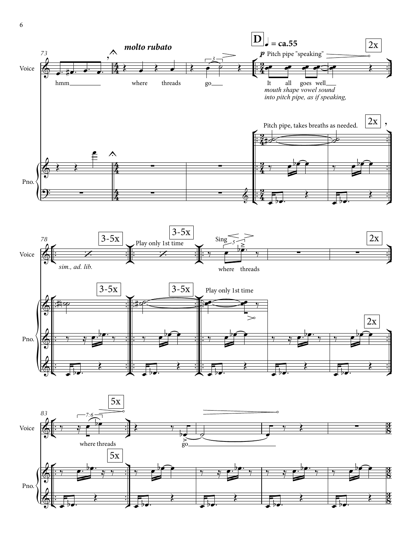